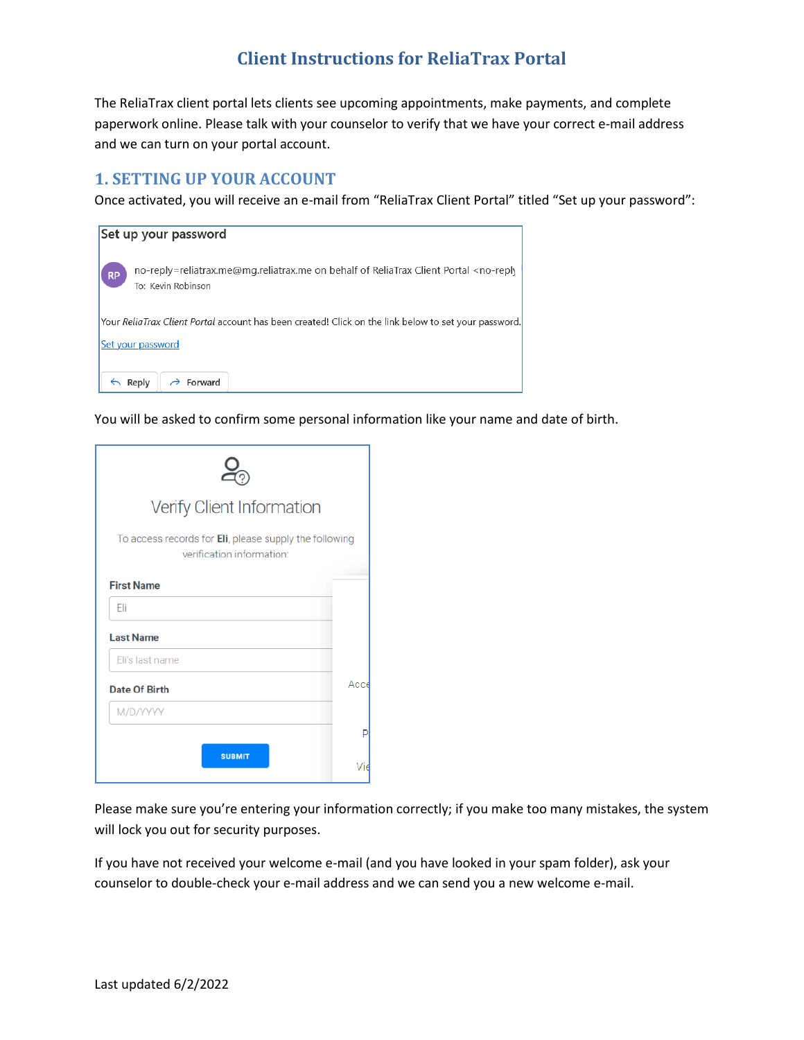# **Client Instructions for ReliaTrax Portal**

The ReliaTrax client portal lets clients see upcoming appointments, make payments, and complete paperwork online. Please talk with your counselor to verify that we have your correct e-mail address and we can turn on your portal account.

## **1. SETTING UP YOUR ACCOUNT**

Once activated, you will receive an e-mail from "ReliaTrax Client Portal" titled "Set up your password":



You will be asked to confirm some personal information like your name and date of birth.

| Verify Client Information                                                           |      |  |  |  |
|-------------------------------------------------------------------------------------|------|--|--|--|
| To access records for Eli, please supply the following<br>verification information: |      |  |  |  |
| <b>First Name</b>                                                                   |      |  |  |  |
| Fli                                                                                 |      |  |  |  |
| <b>Last Name</b>                                                                    |      |  |  |  |
| Eli's last name                                                                     |      |  |  |  |
| <b>Date Of Birth</b>                                                                | Acce |  |  |  |
| M/D/YYYY                                                                            |      |  |  |  |
|                                                                                     | P    |  |  |  |
| <b>SUBMIT</b>                                                                       | Vie  |  |  |  |

Please make sure you're entering your information correctly; if you make too many mistakes, the system will lock you out for security purposes.

If you have not received your welcome e-mail (and you have looked in your spam folder), ask your counselor to double-check your e-mail address and we can send you a new welcome e-mail.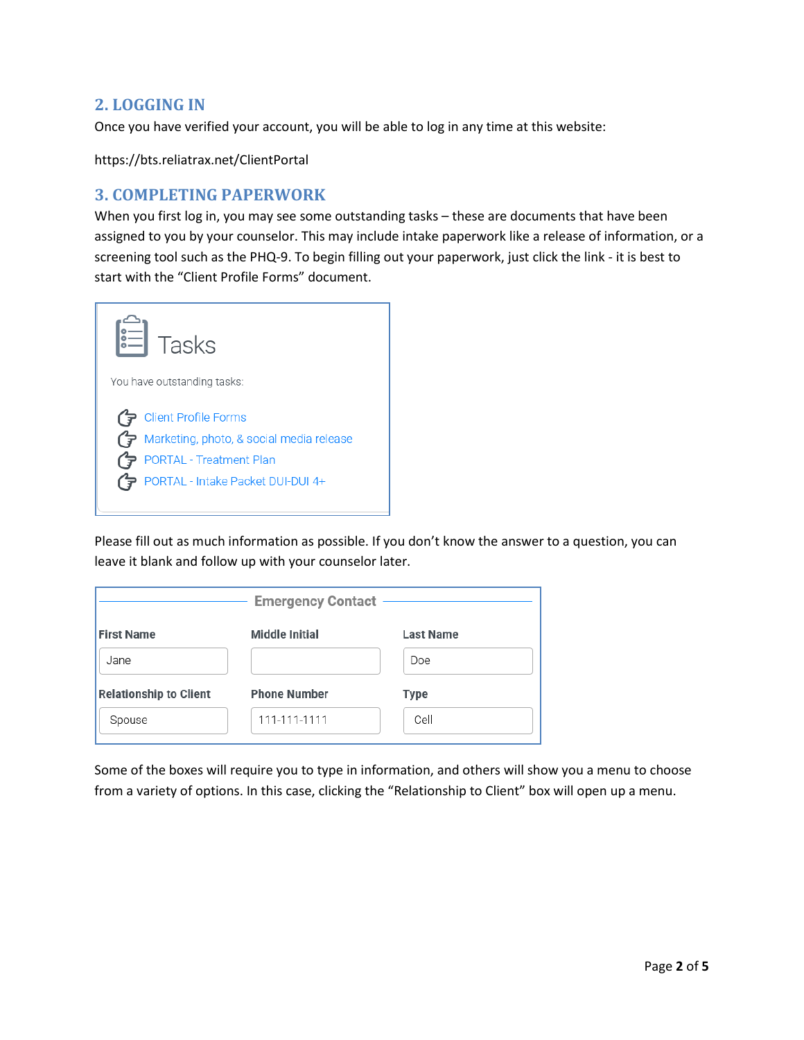## **2. LOGGING IN**

Once you have verified your account, you will be able to log in any time at this website:

https://bts.reliatrax.net/ClientPortal

#### **3. COMPLETING PAPERWORK**

When you first log in, you may see some outstanding tasks – these are documents that have been assigned to you by your counselor. This may include intake paperwork like a release of information, or a screening tool such as the PHQ-9. To begin filling out your paperwork, just click the link - it is best to start with the "Client Profile Forms" document.



Please fill out as much information as possible. If you don't know the answer to a question, you can leave it blank and follow up with your counselor later.

| <b>Emergency Contact</b>      |                       |                  |  |  |  |
|-------------------------------|-----------------------|------------------|--|--|--|
| <b>First Name</b>             | <b>Middle Initial</b> | <b>Last Name</b> |  |  |  |
| Jane                          |                       | Doe              |  |  |  |
| <b>Relationship to Client</b> | <b>Phone Number</b>   | Type             |  |  |  |
| Spouse                        | 111-111-1111          | Cell             |  |  |  |

Some of the boxes will require you to type in information, and others will show you a menu to choose from a variety of options. In this case, clicking the "Relationship to Client" box will open up a menu.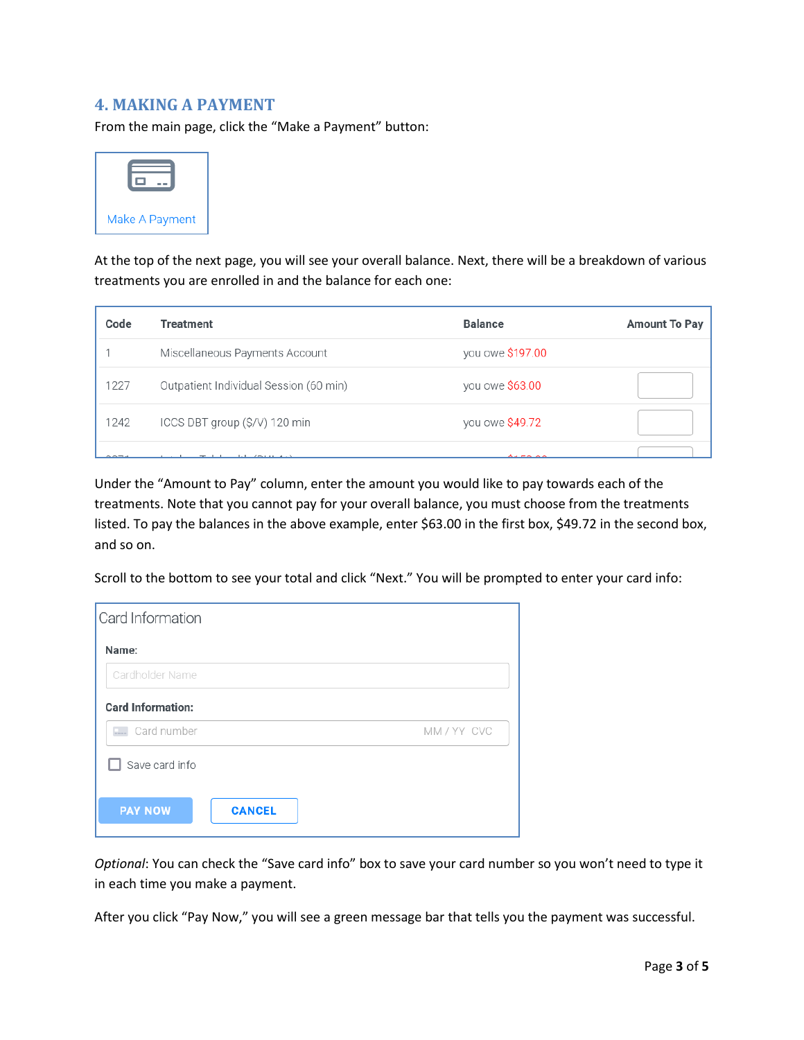#### **4. MAKING A PAYMENT**

From the main page, click the "Make a Payment" button:



At the top of the next page, you will see your overall balance. Next, there will be a breakdown of various treatments you are enrolled in and the balance for each one:

| Code                        | <b>Treatment</b>                       | <b>Balance</b>   | Amount To Pay |
|-----------------------------|----------------------------------------|------------------|---------------|
|                             | Miscellaneous Payments Account         | you owe \$197.00 |               |
| 1227                        | Outpatient Individual Session (60 min) | you owe \$63.00  |               |
| 1242                        | ICCS DBT group (\$/V) 120 min          | you owe \$49.72  |               |
| $\sim$ $\sim$ $\sim$ $\sim$ | $1.1$ $(2.211)$                        | $A + B - A$      |               |

Under the "Amount to Pay" column, enter the amount you would like to pay towards each of the treatments. Note that you cannot pay for your overall balance, you must choose from the treatments listed. To pay the balances in the above example, enter \$63.00 in the first box, \$49.72 in the second box, and so on.

Scroll to the bottom to see your total and click "Next." You will be prompted to enter your card info:

| Card Information                |             |
|---------------------------------|-------------|
| Name:                           |             |
| Cardholder Name                 |             |
| <b>Card Information:</b>        |             |
| E. Card number                  | MM / YY CVC |
| Save card info                  |             |
| <b>PAY NOW</b><br><b>CANCEL</b> |             |

*Optional*: You can check the "Save card info" box to save your card number so you won't need to type it in each time you make a payment.

After you click "Pay Now," you will see a green message bar that tells you the payment was successful.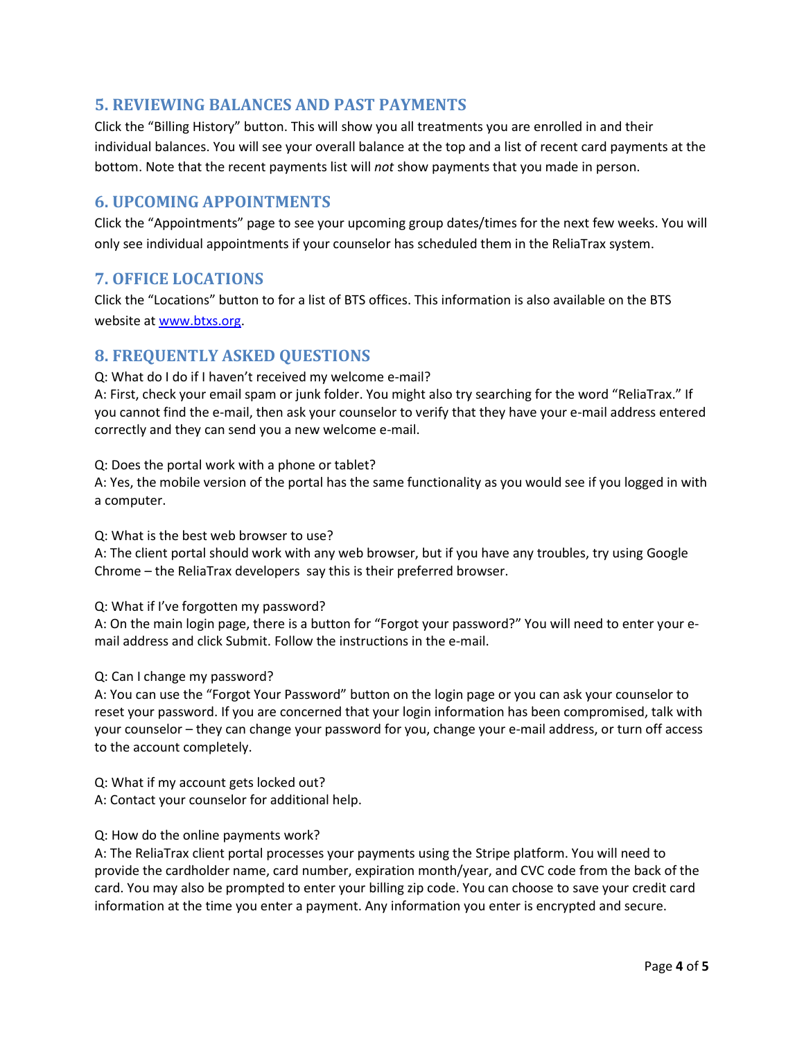## **5. REVIEWING BALANCES AND PAST PAYMENTS**

Click the "Billing History" button. This will show you all treatments you are enrolled in and their individual balances. You will see your overall balance at the top and a list of recent card payments at the bottom. Note that the recent payments list will *not* show payments that you made in person.

## **6. UPCOMING APPOINTMENTS**

Click the "Appointments" page to see your upcoming group dates/times for the next few weeks. You will only see individual appointments if your counselor has scheduled them in the ReliaTrax system.

#### **7. OFFICE LOCATIONS**

Click the "Locations" button to for a list of BTS offices. This information is also available on the BTS website at [www.btxs.org.](http://www.btxs.org/)

#### **8. FREQUENTLY ASKED QUESTIONS**

Q: What do I do if I haven't received my welcome e-mail?

A: First, check your email spam or junk folder. You might also try searching for the word "ReliaTrax." If you cannot find the e-mail, then ask your counselor to verify that they have your e-mail address entered correctly and they can send you a new welcome e-mail.

Q: Does the portal work with a phone or tablet?

A: Yes, the mobile version of the portal has the same functionality as you would see if you logged in with a computer.

Q: What is the best web browser to use?

A: The client portal should work with any web browser, but if you have any troubles, try using Google Chrome – the ReliaTrax developers say this is their preferred browser.

Q: What if I've forgotten my password?

A: On the main login page, there is a button for "Forgot your password?" You will need to enter your email address and click Submit. Follow the instructions in the e-mail.

#### Q: Can I change my password?

A: You can use the "Forgot Your Password" button on the login page or you can ask your counselor to reset your password. If you are concerned that your login information has been compromised, talk with your counselor – they can change your password for you, change your e-mail address, or turn off access to the account completely.

Q: What if my account gets locked out? A: Contact your counselor for additional help.

#### Q: How do the online payments work?

A: The ReliaTrax client portal processes your payments using the Stripe platform. You will need to provide the cardholder name, card number, expiration month/year, and CVC code from the back of the card. You may also be prompted to enter your billing zip code. You can choose to save your credit card information at the time you enter a payment. Any information you enter is encrypted and secure.